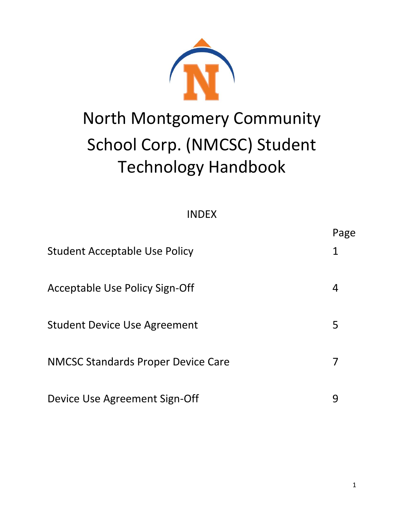# North Montgomery Community School Corp. (NMCSC) Student Technology Handbook

| <b>INDEX</b> |  |
|--------------|--|
|--------------|--|

| <b>Student Acceptable Use Policy</b>      | י השי |
|-------------------------------------------|-------|
| Acceptable Use Policy Sign-Off            | 4     |
| <b>Student Device Use Agreement</b>       | 5     |
| <b>NMCSC Standards Proper Device Care</b> |       |
| Device Use Agreement Sign-Off             | 9     |

Page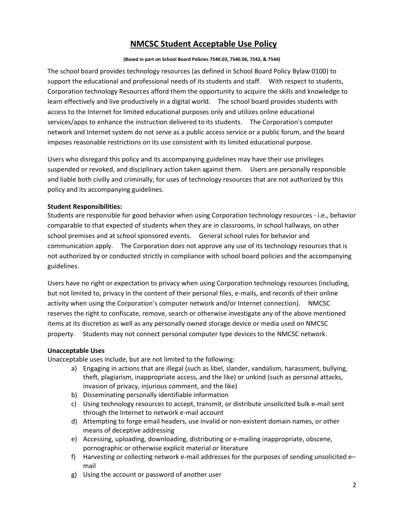## **NMCSC Student Acceptable Use Policy**

#### **(Based in part on School Board Policies 7540.03, 7540.06, 7542, & 7544)**

The school board provides technology resources (as defined in School Board Policy Bylaw 0100) to support the educational and professional needs of its students and staff. With respect to students, Corporation technology Resources afford them the opportunity to acquire the skills and knowledge to learn effectively and live productively in a digital world. The school board provides students with access to the Internet for limited educational purposes only and utilizes online educational services/apps to enhance the instruction delivered to its students. The Corporation's computer network and Internet system do not serve as a public access service or a public forum, and the board imposes reasonable restrictions on its use consistent with its limited educational purpose.

Users who disregard this policy and its accompanying guidelines may have their use privileges suspended or revoked, and disciplinary action taken against them. Users are personally responsible and liable both civilly and criminally, for uses of technology resources that are not authorized by this policy and its accompanying guidelines.

#### **Student Responsibilities:**

Students are responsible for good behavior when using Corporation technology resources - i.e., behavior comparable to that expected of students when they are in classrooms, in school hallways, on other school premises and at school sponsored events. General school rules for behavior and communication apply. The Corporation does not approve any use of its technology resources that is not authorized by or conducted strictly in compliance with school board policies and the accompanying guidelines.

Users have no right or expectation to privacy when using Corporation technology resources (including, but not limited to, privacy in the content of their personal files, e-mails, and records of their online activity when using the Corporation's computer network and/or Internet connection). NMCSC reserves the right to confiscate, remove, search or otherwise investigate any of the above mentioned items at its discretion as well as any personally owned storage device or media used on NMCSC property. Students may not connect personal computer type devices to the NMCSC network.

#### **Unacceptable Uses**

Unacceptable uses include, but are not limited to the following:

- a) Engaging in actions that are illegal (such as libel, slander, vandalism, harassment, bullying, theft, plagiarism, inappropriate access, and the like) or unkind (such as personal attacks, invasion of privacy, injurious comment, and the like)
- b) Disseminating personally identifiable information
- c) Using technology resources to accept, transmit, or distribute unsolicited bulk e-mail sent through the Internet to network e-mail account
- d) Attempting to forge email headers, use invalid or non-existent domain names, or other means of deceptive addressing
- e) Accessing, uploading, downloading, distributing or e-mailing inappropriate, obscene, pornographic or otherwise explicit material or literature
- f) Harvesting or collecting network e-mail addresses for the purposes of sending unsolicited e– mail
- g) Using the account or password of another user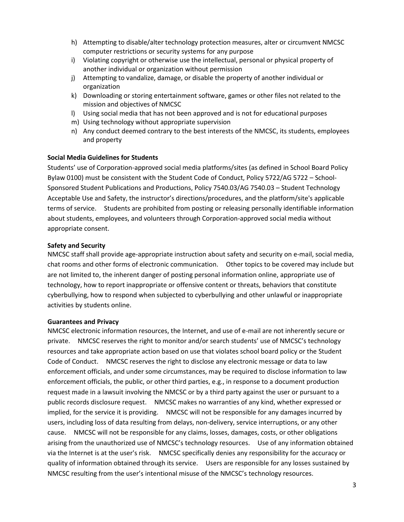- h) Attempting to disable/alter technology protection measures, alter or circumvent NMCSC computer restrictions or security systems for any purpose
- i) Violating copyright or otherwise use the intellectual, personal or physical property of another individual or organization without permission
- j) Attempting to vandalize, damage, or disable the property of another individual or organization
- k) Downloading or storing entertainment software, games or other files not related to the mission and objectives of NMCSC
- l) Using social media that has not been approved and is not for educational purposes
- m) Using technology without appropriate supervision
- n) Any conduct deemed contrary to the best interests of the NMCSC, its students, employees and property

#### **Social Media Guidelines for Students**

Students' use of Corporation-approved social media platforms/sites (as defined in School Board Policy Bylaw 0100) must be consistent with the Student Code of Conduct, Policy 5722/AG 5722 – School-Sponsored Student Publications and Productions, Policy 7540.03/AG 7540.03 – Student Technology Acceptable Use and Safety, the instructor's directions/procedures, and the platform/site's applicable terms of service. Students are prohibited from posting or releasing personally identifiable information about students, employees, and volunteers through Corporation-approved social media without appropriate consent.

#### **Safety and Security**

NMCSC staff shall provide age-appropriate instruction about safety and security on e-mail, social media, chat rooms and other forms of electronic communication. Other topics to be covered may include but are not limited to, the inherent danger of posting personal information online, appropriate use of technology, how to report inappropriate or offensive content or threats, behaviors that constitute cyberbullying, how to respond when subjected to cyberbullying and other unlawful or inappropriate activities by students online.

#### **Guarantees and Privacy**

NMCSC electronic information resources, the Internet, and use of e-mail are not inherently secure or private. NMCSC reserves the right to monitor and/or search students' use of NMCSC's technology resources and take appropriate action based on use that violates school board policy or the Student Code of Conduct. NMCSC reserves the right to disclose any electronic message or data to law enforcement officials, and under some circumstances, may be required to disclose information to law enforcement officials, the public, or other third parties, e.g., in response to a document production request made in a lawsuit involving the NMCSC or by a third party against the user or pursuant to a public records disclosure request. NMCSC makes no warranties of any kind, whether expressed or implied, for the service it is providing. NMCSC will not be responsible for any damages incurred by users, including loss of data resulting from delays, non-delivery, service interruptions, or any other cause. NMCSC will not be responsible for any claims, losses, damages, costs, or other obligations arising from the unauthorized use of NMCSC's technology resources. Use of any information obtained via the Internet is at the user's risk. NMCSC specifically denies any responsibility for the accuracy or quality of information obtained through its service. Users are responsible for any losses sustained by NMCSC resulting from the user's intentional misuse of the NMCSC's technology resources.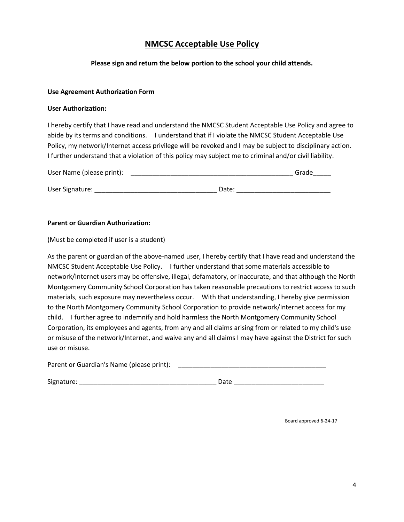## **NMCSC Acceptable Use Policy**

### **Please sign and return the below portion to the school your child attends.**

#### **Use Agreement Authorization Form**

#### **User Authorization:**

I hereby certify that I have read and understand the NMCSC Student Acceptable Use Policy and agree to abide by its terms and conditions. I understand that if I violate the NMCSC Student Acceptable Use Policy, my network/Internet access privilege will be revoked and I may be subject to disciplinary action. I further understand that a violation of this policy may subject me to criminal and/or civil liability.

| User Name (please print): |       | Grade |
|---------------------------|-------|-------|
|                           |       |       |
| User Signature:           | Date: |       |

#### **Parent or Guardian Authorization:**

(Must be completed if user is a student)

As the parent or guardian of the above-named user, I hereby certify that I have read and understand the NMCSC Student Acceptable Use Policy. I further understand that some materials accessible to network/Internet users may be offensive, illegal, defamatory, or inaccurate, and that although the North Montgomery Community School Corporation has taken reasonable precautions to restrict access to such materials, such exposure may nevertheless occur. With that understanding, I hereby give permission to the North Montgomery Community School Corporation to provide network/Internet access for my child. I further agree to indemnify and hold harmless the North Montgomery Community School Corporation, its employees and agents, from any and all claims arising from or related to my child's use or misuse of the network/Internet, and waive any and all claims I may have against the District for such use or misuse.

| Parent or Guardian's Name (please print): |  |
|-------------------------------------------|--|
|                                           |  |

| Signature:<br>היש |  |
|-------------------|--|
|-------------------|--|

Board approved 6-24-17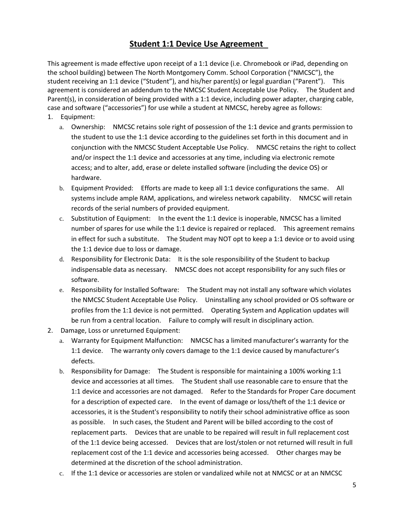## **Student 1:1 Device Use Agreement**

This agreement is made effective upon receipt of a 1:1 device (i.e. Chromebook or iPad, depending on the school building) between The North Montgomery Comm. School Corporation ("NMCSC"), the student receiving an 1:1 device ("Student"), and his/her parent(s) or legal guardian ("Parent"). This agreement is considered an addendum to the NMCSC Student Acceptable Use Policy. The Student and Parent(s), in consideration of being provided with a 1:1 device, including power adapter, charging cable, case and software ("accessories") for use while a student at NMCSC, hereby agree as follows: 1. Equipment:

- a. Ownership: NMCSC retains sole right of possession of the 1:1 device and grants permission to the student to use the 1:1 device according to the guidelines set forth in this document and in conjunction with the NMCSC Student Acceptable Use Policy. NMCSC retains the right to collect and/or inspect the 1:1 device and accessories at any time, including via electronic remote access; and to alter, add, erase or delete installed software (including the device OS) or hardware.
- b. Equipment Provided: Efforts are made to keep all 1:1 device configurations the same. All systems include ample RAM, applications, and wireless network capability. NMCSC will retain records of the serial numbers of provided equipment.
- c. Substitution of Equipment: In the event the 1:1 device is inoperable, NMCSC has a limited number of spares for use while the 1:1 device is repaired or replaced. This agreement remains in effect for such a substitute. The Student may NOT opt to keep a 1:1 device or to avoid using the 1:1 device due to loss or damage.
- d. Responsibility for Electronic Data: It is the sole responsibility of the Student to backup indispensable data as necessary. NMCSC does not accept responsibility for any such files or software.
- e. Responsibility for Installed Software: The Student may not install any software which violates the NMCSC Student Acceptable Use Policy. Uninstalling any school provided or OS software or profiles from the 1:1 device is not permitted. Operating System and Application updates will be run from a central location. Failure to comply will result in disciplinary action.
- 2. Damage, Loss or unreturned Equipment:
	- a. Warranty for Equipment Malfunction: NMCSC has a limited manufacturer's warranty for the 1:1 device. The warranty only covers damage to the 1:1 device caused by manufacturer's defects.
	- b. Responsibility for Damage: The Student is responsible for maintaining a 100% working 1:1 device and accessories at all times. The Student shall use reasonable care to ensure that the 1:1 device and accessories are not damaged. Refer to the Standards for Proper Care document for a description of expected care. In the event of damage or loss/theft of the 1:1 device or accessories, it is the Student's responsibility to notify their school administrative office as soon as possible. In such cases, the Student and Parent will be billed according to the cost of replacement parts. Devices that are unable to be repaired will result in full replacement cost of the 1:1 device being accessed. Devices that are lost/stolen or not returned will result in full replacement cost of the 1:1 device and accessories being accessed. Other charges may be determined at the discretion of the school administration.
	- c. If the 1:1 device or accessories are stolen or vandalized while not at NMCSC or at an NMCSC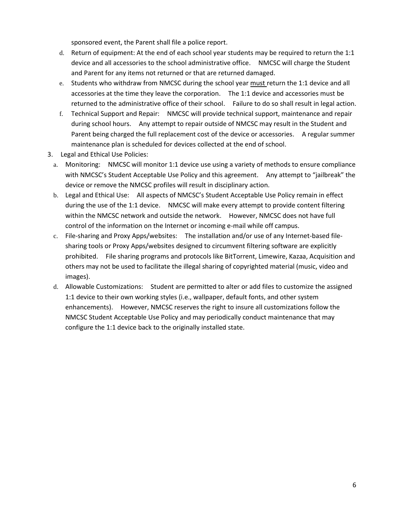sponsored event, the Parent shall file a police report.

- d. Return of equipment: At the end of each school year students may be required to return the 1:1 device and all accessories to the school administrative office. NMCSC will charge the Student and Parent for any items not returned or that are returned damaged.
- e. Students who withdraw from NMCSC during the school year must return the 1:1 device and all accessories at the time they leave the corporation. The 1:1 device and accessories must be returned to the administrative office of their school. Failure to do so shall result in legal action.
- f. Technical Support and Repair: NMCSC will provide technical support, maintenance and repair during school hours. Any attempt to repair outside of NMCSC may result in the Student and Parent being charged the full replacement cost of the device or accessories. A regular summer maintenance plan is scheduled for devices collected at the end of school.
- 3. Legal and Ethical Use Policies:
	- a. Monitoring: NMCSC will monitor 1:1 device use using a variety of methods to ensure compliance with NMCSC's Student Acceptable Use Policy and this agreement. Any attempt to "jailbreak" the device or remove the NMCSC profiles will result in disciplinary action.
	- b. Legal and Ethical Use: All aspects of NMCSC's Student Acceptable Use Policy remain in effect during the use of the 1:1 device. NMCSC will make every attempt to provide content filtering within the NMCSC network and outside the network. However, NMCSC does not have full control of the information on the Internet or incoming e-mail while off campus.
	- c. File-sharing and Proxy Apps/websites: The installation and/or use of any Internet-based filesharing tools or Proxy Apps/websites designed to circumvent filtering software are explicitly prohibited. File sharing programs and protocols like BitTorrent, Limewire, Kazaa, Acquisition and others may not be used to facilitate the illegal sharing of copyrighted material (music, video and images).
	- d. Allowable Customizations: Student are permitted to alter or add files to customize the assigned 1:1 device to their own working styles (i.e., wallpaper, default fonts, and other system enhancements). However, NMCSC reserves the right to insure all customizations follow the NMCSC Student Acceptable Use Policy and may periodically conduct maintenance that may configure the 1:1 device back to the originally installed state.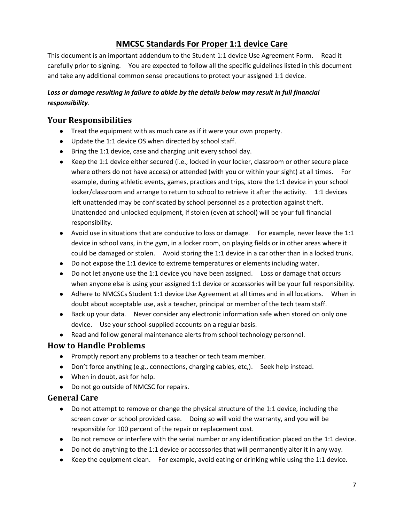# **NMCSC Standards For Proper 1:1 device Care**

This document is an important addendum to the Student 1:1 device Use Agreement Form. Read it carefully prior to signing. You are expected to follow all the specific guidelines listed in this document and take any additional common sense precautions to protect your assigned 1:1 device.

## Loss or damage resulting in failure to abide by the details below may result in full financial *responsibility*.

## **Your Responsibilities**

- Treat the equipment with as much care as if it were your own property.
- Update the 1:1 device OS when directed by school staff.
- Bring the 1:1 device, case and charging unit every school day.
- Keep the 1:1 device either secured (i.e., locked in your locker, classroom or other secure place where others do not have access) or attended (with you or within your sight) at all times. For example, during athletic events, games, practices and trips, store the 1:1 device in your school locker/classroom and arrange to return to school to retrieve it after the activity. 1:1 devices left unattended may be confiscated by school personnel as a protection against theft. Unattended and unlocked equipment, if stolen (even at school) will be your full financial responsibility.
- Avoid use in situations that are conducive to loss or damage. For example, never leave the 1:1 device in school vans, in the gym, in a locker room, on playing fields or in other areas where it could be damaged or stolen. Avoid storing the 1:1 device in a car other than in a locked trunk.
- Do not expose the 1:1 device to extreme temperatures or elements including water.
- Do not let anyone use the 1:1 device you have been assigned. Loss or damage that occurs when anyone else is using your assigned 1:1 device or accessories will be your full responsibility.
- Adhere to NMCSCs Student 1:1 device Use Agreement at all times and in all locations. When in doubt about acceptable use, ask a teacher, principal or member of the tech team staff.
- Back up your data. Never consider any electronic information safe when stored on only one device. Use your school-supplied accounts on a regular basis.
- Read and follow general maintenance alerts from school technology personnel.

# **How to Handle Problems**

- Promptly report any problems to a teacher or tech team member.
- Don't force anything (e.g., connections, charging cables, etc,). Seek help instead.
- When in doubt, ask for help.
- Do not go outside of NMCSC for repairs.

## **General Care**

- Do not attempt to remove or change the physical structure of the 1:1 device, including the screen cover or school provided case. Doing so will void the warranty, and you will be responsible for 100 percent of the repair or replacement cost.
- Do not remove or interfere with the serial number or any identification placed on the 1:1 device.
- Do not do anything to the 1:1 device or accessories that will permanently alter it in any way.
- Keep the equipment clean. For example, avoid eating or drinking while using the 1:1 device.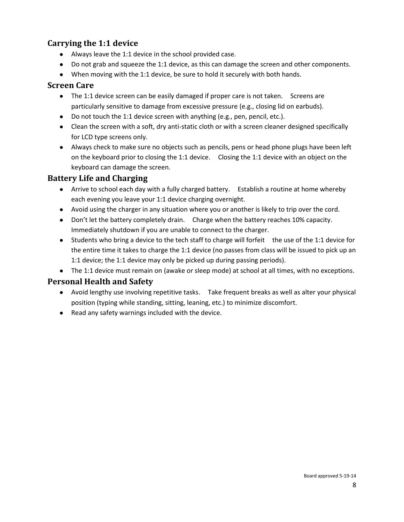## **Carrying the 1:1 device**

- Always leave the 1:1 device in the school provided case.
- Do not grab and squeeze the 1:1 device, as this can damage the screen and other components.
- When moving with the 1:1 device, be sure to hold it securely with both hands.

## **Screen Care**

- The 1:1 device screen can be easily damaged if proper care is not taken. Screens are particularly sensitive to damage from excessive pressure (e.g., closing lid on earbuds).
- Do not touch the 1:1 device screen with anything (e.g., pen, pencil, etc.).
- Clean the screen with a soft, dry anti-static cloth or with a screen cleaner designed specifically for LCD type screens only.
- Always check to make sure no objects such as pencils, pens or head phone plugs have been left on the keyboard prior to closing the 1:1 device. Closing the 1:1 device with an object on the keyboard can damage the screen.

## **Battery Life and Charging**

- Arrive to school each day with a fully charged battery. Establish a routine at home whereby each evening you leave your 1:1 device charging overnight.
- Avoid using the charger in any situation where you or another is likely to trip over the cord.
- Don't let the battery completely drain. Charge when the battery reaches 10% capacity. Immediately shutdown if you are unable to connect to the charger.
- Students who bring a device to the tech staff to charge will forfeit the use of the 1:1 device for the entire time it takes to charge the 1:1 device (no passes from class will be issued to pick up an 1:1 device; the 1:1 device may only be picked up during passing periods).
- The 1:1 device must remain on (awake or sleep mode) at school at all times, with no exceptions.

## **Personal Health and Safety**

- Avoid lengthy use involving repetitive tasks. Take frequent breaks as well as alter your physical position (typing while standing, sitting, leaning, etc.) to minimize discomfort.
- Read any safety warnings included with the device.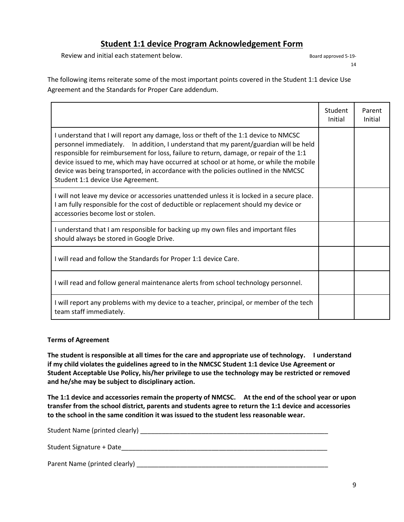## **Student 1:1 device Program Acknowledgement Form**

Review and initial each statement below. Board approved 5-19-

14

The following items reiterate some of the most important points covered in the Student 1:1 device Use Agreement and the Standards for Proper Care addendum.

|                                                                                                                                                                                                                                                                                                                                                                                                                                                                                                | Student<br>Initial | Parent<br>Initial |
|------------------------------------------------------------------------------------------------------------------------------------------------------------------------------------------------------------------------------------------------------------------------------------------------------------------------------------------------------------------------------------------------------------------------------------------------------------------------------------------------|--------------------|-------------------|
| I understand that I will report any damage, loss or theft of the 1:1 device to NMCSC<br>personnel immediately. In addition, I understand that my parent/guardian will be held<br>responsible for reimbursement for loss, failure to return, damage, or repair of the 1:1<br>device issued to me, which may have occurred at school or at home, or while the mobile<br>device was being transported, in accordance with the policies outlined in the NMCSC<br>Student 1:1 device Use Agreement. |                    |                   |
| I will not leave my device or accessories unattended unless it is locked in a secure place.<br>I am fully responsible for the cost of deductible or replacement should my device or<br>accessories become lost or stolen.                                                                                                                                                                                                                                                                      |                    |                   |
| I understand that I am responsible for backing up my own files and important files<br>should always be stored in Google Drive.                                                                                                                                                                                                                                                                                                                                                                 |                    |                   |
| I will read and follow the Standards for Proper 1:1 device Care.                                                                                                                                                                                                                                                                                                                                                                                                                               |                    |                   |
| I will read and follow general maintenance alerts from school technology personnel.                                                                                                                                                                                                                                                                                                                                                                                                            |                    |                   |
| I will report any problems with my device to a teacher, principal, or member of the tech<br>team staff immediately.                                                                                                                                                                                                                                                                                                                                                                            |                    |                   |

#### **Terms of Agreement**

**The student is responsible at all times for the care and appropriate use of technology. I understand if my child violates the guidelines agreed to in the NMCSC Student 1:1 device Use Agreement or Student Acceptable Use Policy, his/her privilege to use the technology may be restricted or removed and he/she may be subject to disciplinary action.**

**The 1:1 device and accessories remain the property of NMCSC. At the end of the school year or upon transfer from the school district, parents and students agree to return the 1:1 device and accessories to the school in the same condition it was issued to the student less reasonable wear.**

| Student Name (printed clearly) |  |
|--------------------------------|--|
|                                |  |

Student Signature + Date\_\_\_\_\_\_\_\_\_\_\_\_\_\_\_\_\_\_\_\_\_\_\_\_\_\_\_\_\_\_\_\_\_\_\_\_\_\_\_\_\_\_\_\_\_\_\_\_\_\_\_\_\_\_\_\_\_

Parent Name (printed clearly) \_\_\_\_\_\_\_\_\_\_\_\_\_\_\_\_\_\_\_\_\_\_\_\_\_\_\_\_\_\_\_\_\_\_\_\_\_\_\_\_\_\_\_\_\_\_\_\_\_\_\_\_\_